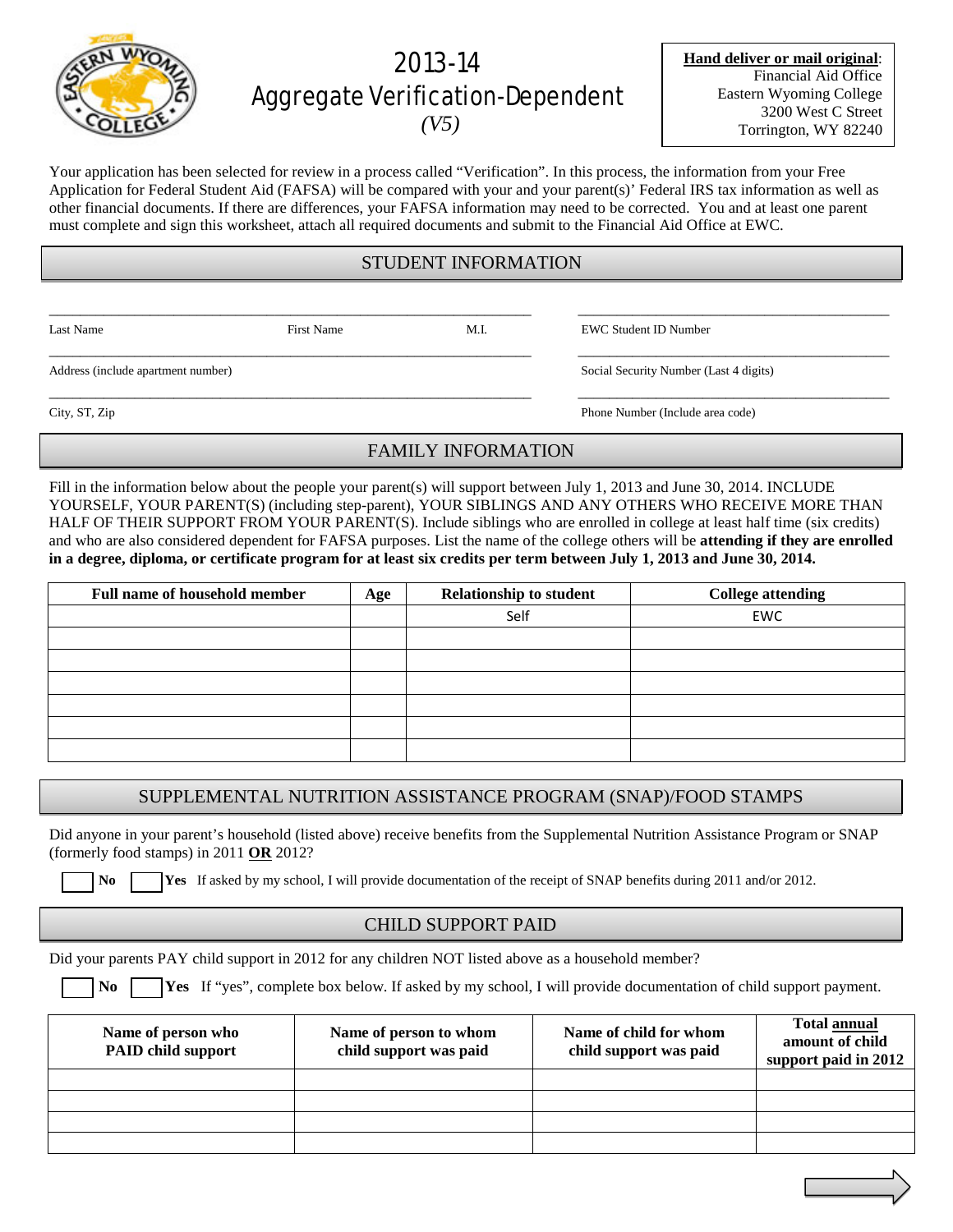

# 2013-14 Aggregate Verification-Dependent *(V5)*

**Hand deliver or mail original**: Financial Aid Office Eastern Wyoming College 3200 West C Street Torrington, WY 82240

Your application has been selected for review in a process called "Verification". In this process, the information from your Free Application for Federal Student Aid (FAFSA) will be compared with your and your parent(s)' Federal IRS tax information as well as other financial documents. If there are differences, your FAFSA information may need to be corrected. You and at least one parent must complete and sign this worksheet, attach all required documents and submit to the Financial Aid Office at EWC.

## STUDENT INFORMATION

\_\_\_\_\_\_\_\_\_\_\_\_\_\_\_\_\_\_\_\_\_\_\_\_\_\_\_\_\_\_\_\_\_\_\_\_\_\_\_\_\_\_\_\_\_\_\_\_\_\_\_\_\_\_\_\_\_\_\_\_\_\_ \_\_\_\_\_\_\_\_\_\_\_\_\_\_\_\_\_\_\_\_\_\_\_\_\_\_\_\_\_\_\_\_\_\_\_\_\_\_\_\_

\_\_\_\_\_\_\_\_\_\_\_\_\_\_\_\_\_\_\_\_\_\_\_\_\_\_\_\_\_\_\_\_\_\_\_\_\_\_\_\_\_\_\_\_\_\_\_\_\_\_\_\_\_\_\_\_\_\_\_\_\_\_ \_\_\_\_\_\_\_\_\_\_\_\_\_\_\_\_\_\_\_\_\_\_\_\_\_\_\_\_\_\_\_\_\_\_\_\_\_\_\_\_

Last Name First Name M.I. EWC Student ID Number

Address (include apartment number) Social Security Number (Last 4 digits)

\_\_\_\_\_\_\_\_\_\_\_\_\_\_\_\_\_\_\_\_\_\_\_\_\_\_\_\_\_\_\_\_\_\_\_\_\_\_\_\_\_\_\_\_\_\_\_\_\_\_\_\_\_\_\_\_\_\_\_\_\_\_ \_\_\_\_\_\_\_\_\_\_\_\_\_\_\_\_\_\_\_\_\_\_\_\_\_\_\_\_\_\_\_\_\_\_\_\_\_\_\_\_ City, ST, Zip Phone Number (Include area code)

## FAMILY INFORMATION

Fill in the information below about the people your parent(s) will support between July 1, 2013 and June 30, 2014. INCLUDE YOURSELF, YOUR PARENT(S) (including step-parent), YOUR SIBLINGS AND ANY OTHERS WHO RECEIVE MORE THAN HALF OF THEIR SUPPORT FROM YOUR PARENT(S). Include siblings who are enrolled in college at least half time (six credits) and who are also considered dependent for FAFSA purposes. List the name of the college others will be **attending if they are enrolled in a degree, diploma, or certificate program for at least six credits per term between July 1, 2013 and June 30, 2014.**

| <b>Full name of household member</b> | Age | <b>Relationship to student</b> | <b>College attending</b> |
|--------------------------------------|-----|--------------------------------|--------------------------|
|                                      |     | Self                           | <b>EWC</b>               |
|                                      |     |                                |                          |
|                                      |     |                                |                          |
|                                      |     |                                |                          |
|                                      |     |                                |                          |
|                                      |     |                                |                          |
|                                      |     |                                |                          |

## SUPPLEMENTAL NUTRITION ASSISTANCE PROGRAM (SNAP)/FOOD STAMPS

Did anyone in your parent's household (listed above) receive benefits from the Supplemental Nutrition Assistance Program or SNAP (formerly food stamps) in 2011 **OR** 2012?

**No Yes** If asked by my school, I will provide documentation of the receipt of SNAP benefits during 2011 and/or 2012.

# CHILD SUPPORT PAID

Did your parents PAY child support in 2012 for any children NOT listed above as a household member?

**No Yes** If "yes", complete box below. If asked by my school, I will provide documentation of child support payment.

| Name of person who<br><b>PAID child support</b> | Name of person to whom<br>child support was paid | Name of child for whom<br>child support was paid | <b>Total annual</b><br>amount of child<br>support paid in 2012 |
|-------------------------------------------------|--------------------------------------------------|--------------------------------------------------|----------------------------------------------------------------|
|                                                 |                                                  |                                                  |                                                                |
|                                                 |                                                  |                                                  |                                                                |
|                                                 |                                                  |                                                  |                                                                |
|                                                 |                                                  |                                                  |                                                                |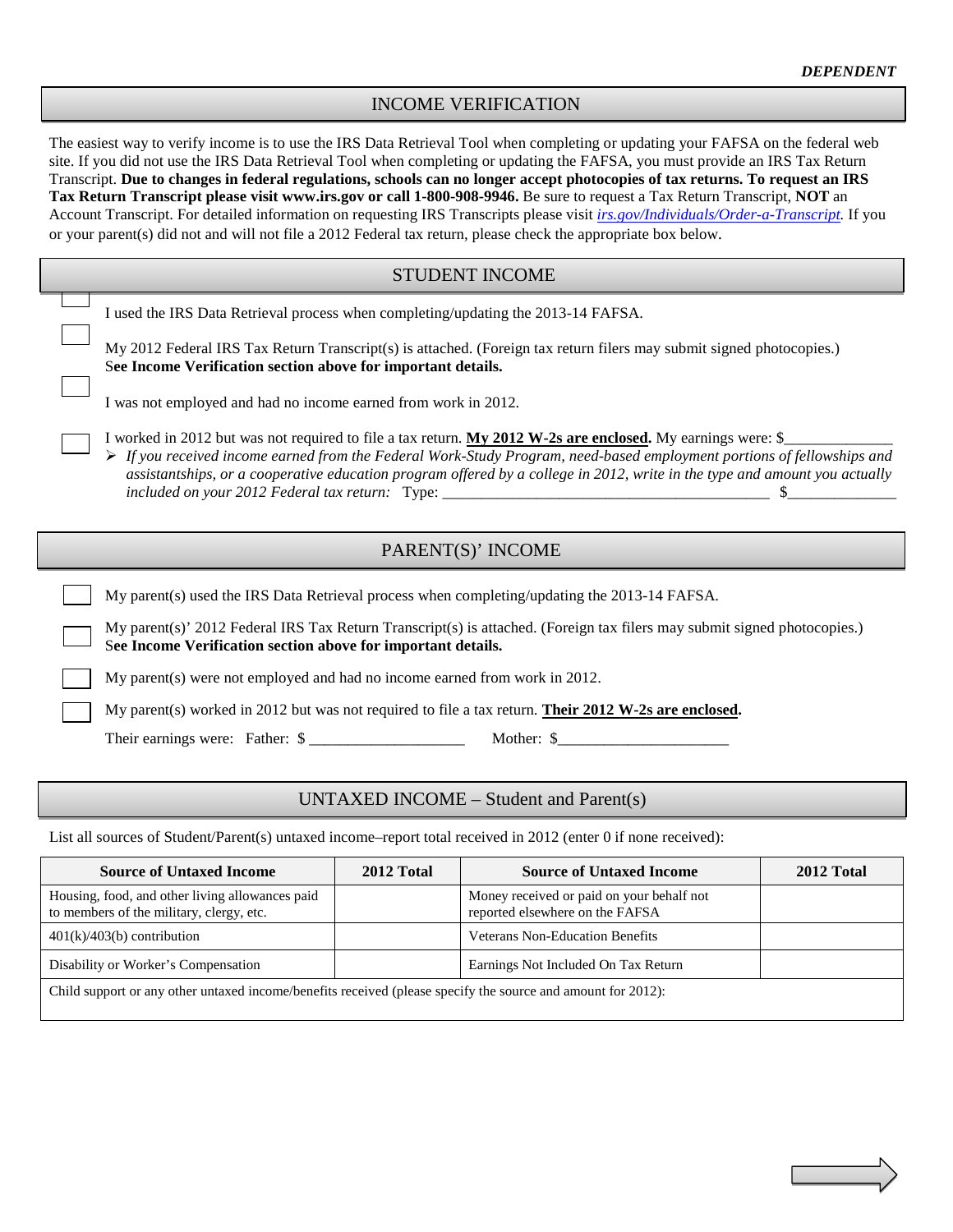#### INCOME VERIFICATION

The easiest way to verify income is to use the IRS Data Retrieval Tool when completing or updating your FAFSA on the federal web site. If you did not use the IRS Data Retrieval Tool when completing or updating the FAFSA, you must provide an IRS Tax Return Transcript. **Due to changes in federal regulations, schools can no longer accept photocopies of tax returns. To request an IRS Tax Return Transcript please visit www.irs.gov or call 1-800-908-9946.** Be sure to request a Tax Return Transcript, **NOT** an Account Transcript. For detailed information on requesting IRS Transcripts please visit *[irs.gov/Individuals/Order-a-Transcript.](http://www.irs.gov/Individuals/Order-a-Transcript)* If you or your parent(s) did not and will not file a 2012 Federal tax return, please check the appropriate box below.

| <b>STUDENT INCOME</b>                                                                                                                                                                                                                                                                                                                                               |  |  |  |
|---------------------------------------------------------------------------------------------------------------------------------------------------------------------------------------------------------------------------------------------------------------------------------------------------------------------------------------------------------------------|--|--|--|
| I used the IRS Data Retrieval process when completing/updating the 2013-14 FAFSA.                                                                                                                                                                                                                                                                                   |  |  |  |
| My 2012 Federal IRS Tax Return Transcript(s) is attached. (Foreign tax return filers may submit signed photocopies.)<br>See Income Verification section above for important details.                                                                                                                                                                                |  |  |  |
| I was not employed and had no income earned from work in 2012.                                                                                                                                                                                                                                                                                                      |  |  |  |
| I worked in 2012 but was not required to file a tax return. My 2012 W-2s are enclosed. My earnings were: \$<br>▶ If you received income earned from the Federal Work-Study Program, need-based employment portions of fellowships and<br>assistantships, or a cooperative education program offered by a college in 2012, write in the type and amount you actually |  |  |  |
| PARENT(S)' INCOME                                                                                                                                                                                                                                                                                                                                                   |  |  |  |
| My parent(s) used the IRS Data Retrieval process when completing/updating the 2013-14 FAFSA.                                                                                                                                                                                                                                                                        |  |  |  |
| My parent(s)' 2012 Federal IRS Tax Return Transcript(s) is attached. (Foreign tax filers may submit signed photocopies.)<br>See Income Verification section above for important details.                                                                                                                                                                            |  |  |  |
| My parent(s) were not employed and had no income earned from work in 2012.                                                                                                                                                                                                                                                                                          |  |  |  |
|                                                                                                                                                                                                                                                                                                                                                                     |  |  |  |
| My parent(s) worked in 2012 but was not required to file a tax return. Their $2012 \text{ W-}2s$ are enclosed.                                                                                                                                                                                                                                                      |  |  |  |

## UNTAXED INCOME – Student and Parent(s)

List all sources of Student/Parent(s) untaxed income–report total received in 2012 (enter 0 if none received):

| <b>Source of Untaxed Income</b>                                                                              | 2012 Total | <b>Source of Untaxed Income</b>                                              | 2012 Total |
|--------------------------------------------------------------------------------------------------------------|------------|------------------------------------------------------------------------------|------------|
| Housing, food, and other living allowances paid<br>to members of the military, clergy, etc.                  |            | Money received or paid on your behalf not<br>reported elsewhere on the FAFSA |            |
| $401(k)/403(b)$ contribution                                                                                 |            | <b>Veterans Non-Education Benefits</b>                                       |            |
| Disability or Worker's Compensation                                                                          |            | Earnings Not Included On Tax Return                                          |            |
| Child support or any other untaxed income/benefits received (please specify the source and amount for 2012): |            |                                                                              |            |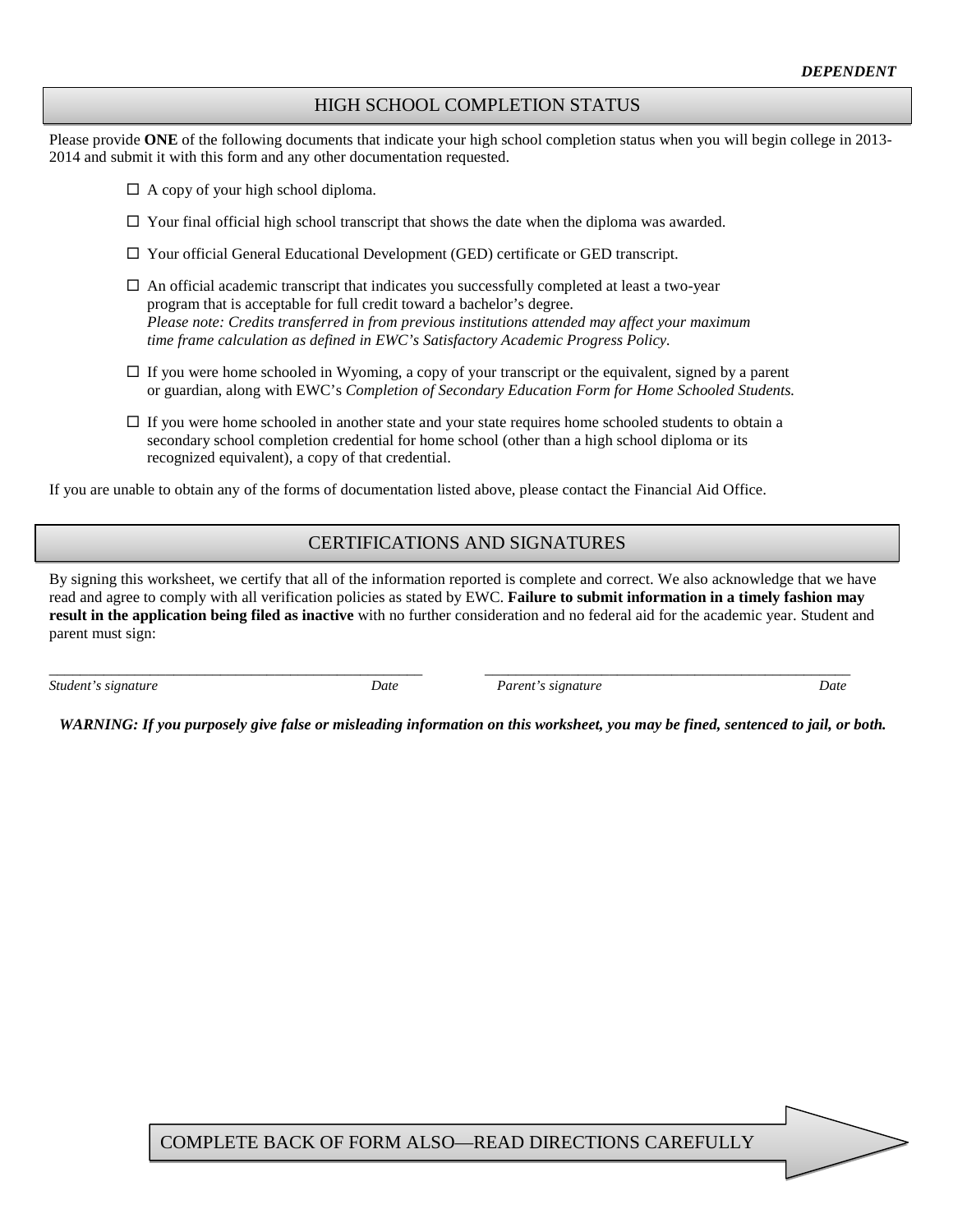#### HIGH SCHOOL COMPLETION STATUS

Please provide **ONE** of the following documents that indicate your high school completion status when you will begin college in 2013- 2014 and submit it with this form and any other documentation requested.

- $\Box$  A copy of your high school diploma.
- $\Box$  Your final official high school transcript that shows the date when the diploma was awarded.
- $\Box$  Your official General Educational Development (GED) certificate or GED transcript.
- $\Box$  An official academic transcript that indicates you successfully completed at least a two-year program that is acceptable for full credit toward a bachelor's degree. *Please note: Credits transferred in from previous institutions attended may affect your maximum time frame calculation as defined in EWC's Satisfactory Academic Progress Policy.*
- $\Box$  If you were home schooled in Wyoming, a copy of your transcript or the equivalent, signed by a parent or guardian, along with EWC's *Completion of Secondary Education Form for Home Schooled Students.*
- $\Box$  If you were home schooled in another state and your state requires home schooled students to obtain a secondary school completion credential for home school (other than a high school diploma or its recognized equivalent), a copy of that credential.

If you are unable to obtain any of the forms of documentation listed above, please contact the Financial Aid Office.

#### CERTIFICATIONS AND SIGNATURES

By signing this worksheet, we certify that all of the information reported is complete and correct. We also acknowledge that we have read and agree to comply with all verification policies as stated by EWC. **Failure to submit information in a timely fashion may result in the application being filed as inactive** with no further consideration and no federal aid for the academic year. Student and parent must sign:

*Student's signature Date Parent's signature Date*

\_\_\_\_\_\_\_\_\_\_\_\_\_\_\_\_\_\_\_\_\_\_\_\_\_\_\_\_\_\_\_\_\_\_\_\_\_\_\_\_\_\_\_\_\_\_\_\_ \_\_\_\_\_\_\_\_\_\_\_\_\_\_\_\_\_\_\_\_\_\_\_\_\_\_\_\_\_\_\_\_\_\_\_\_\_\_\_\_\_\_\_\_\_\_\_

*WARNING: If you purposely give false or misleading information on this worksheet, you may be fined, sentenced to jail, or both.*

COMPLETE BACK OF FORM ALSO—READ DIRECTIONS CAREFULLY